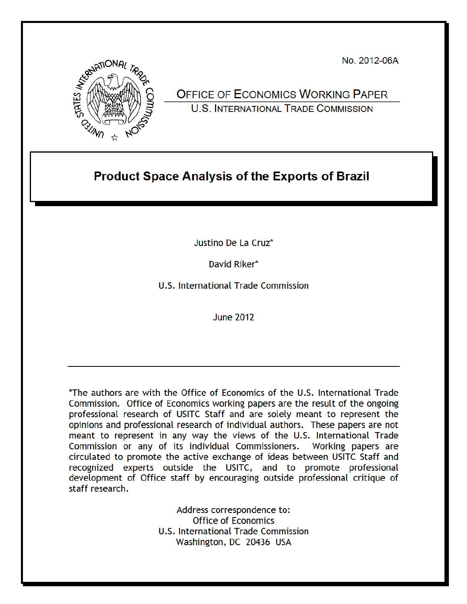No. 2012-06A



**OFFICE OF ECONOMICS WORKING PAPER U.S. INTERNATIONAL TRADE COMMISSION** 

# **Product Space Analysis of the Exports of Brazil**

Justino De La Cruz\*

David Riker\*

U.S. International Trade Commission

**June 2012** 

\*The authors are with the Office of Economics of the U.S. International Trade Commission. Office of Economics working papers are the result of the ongoing professional research of USITC Staff and are solely meant to represent the opinions and professional research of individual authors. These papers are not meant to represent in any way the views of the U.S. International Trade Commission or any of its individual Commissioners. Working papers are circulated to promote the active exchange of ideas between USITC Staff and recognized experts outside the USITC, and to promote professional development of Office staff by encouraging outside professional critique of staff research.

> Address correspondence to: **Office of Economics** U.S. International Trade Commission Washington, DC 20436 USA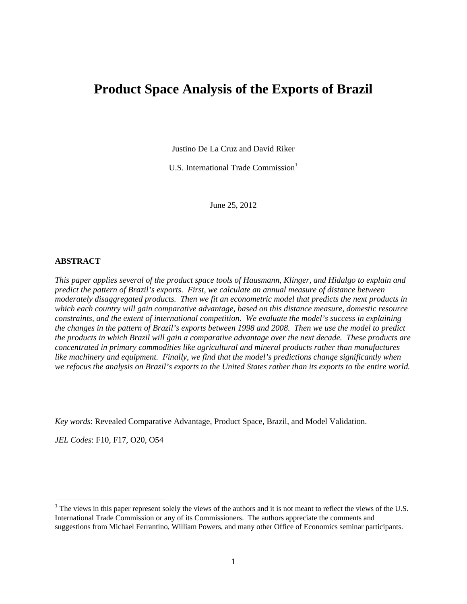## **Product Space Analysis of the Exports of Brazil**

Justino De La Cruz and David Riker

U.S. International Trade Commission<sup>1</sup>

June 25, 2012

#### **ABSTRACT**

*This paper applies several of the product space tools of Hausmann, Klinger, and Hidalgo to explain and predict the pattern of Brazil's exports. First, we calculate an annual measure of distance between moderately disaggregated products. Then we fit an econometric model that predicts the next products in which each country will gain comparative advantage, based on this distance measure, domestic resource constraints, and the extent of international competition. We evaluate the model's success in explaining the changes in the pattern of Brazil's exports between 1998 and 2008. Then we use the model to predict the products in which Brazil will gain a comparative advantage over the next decade. These products are concentrated in primary commodities like agricultural and mineral products rather than manufactures like machinery and equipment. Finally, we find that the model's predictions change significantly when we refocus the analysis on Brazil's exports to the United States rather than its exports to the entire world.* 

*Key words*: Revealed Comparative Advantage, Product Space, Brazil, and Model Validation.

 *JEL Codes*: F10, F17, O20, O54

<sup>&</sup>lt;sup>1</sup> The views in this paper represent solely the views of the authors and it is not meant to reflect the views of the U.S. International Trade Commission or any of its Commissioners. The authors appreciate the comments and suggestions from Michael Ferrantino, William Powers, and many other Office of Economics seminar participants.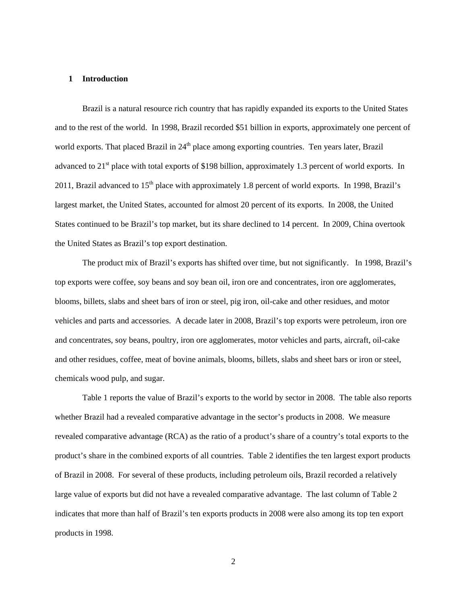#### **1 Introduction**

 the United States as Brazil's top export destination. Brazil is a natural resource rich country that has rapidly expanded its exports to the United States and to the rest of the world. In 1998, Brazil recorded \$51 billion in exports, approximately one percent of world exports. That placed Brazil in  $24<sup>th</sup>$  place among exporting countries. Ten years later, Brazil advanced to 21<sup>st</sup> place with total exports of \$198 billion, approximately 1.3 percent of world exports. In 2011, Brazil advanced to  $15<sup>th</sup>$  place with approximately 1.8 percent of world exports. In 1998, Brazil's largest market, the United States, accounted for almost 20 percent of its exports. In 2008, the United States continued to be Brazil's top market, but its share declined to 14 percent. In 2009, China overtook

 The product mix of Brazil's exports has shifted over time, but not significantly. In 1998, Brazil's top exports were coffee, soy beans and soy bean oil, iron ore and concentrates, iron ore agglomerates, blooms, billets, slabs and sheet bars of iron or steel, pig iron, oil-cake and other residues, and motor vehicles and parts and accessories. A decade later in 2008, Brazil's top exports were petroleum, iron ore and concentrates, soy beans, poultry, iron ore agglomerates, motor vehicles and parts, aircraft, oil-cake and other residues, coffee, meat of bovine animals, blooms, billets, slabs and sheet bars or iron or steel, chemicals wood pulp, and sugar.

Table 1 reports the value of Brazil's exports to the world by sector in 2008. The table also reports whether Brazil had a revealed comparative advantage in the sector's products in 2008. We measure revealed comparative advantage (RCA) as the ratio of a product's share of a country's total exports to the product's share in the combined exports of all countries. Table 2 identifies the ten largest export products of Brazil in 2008. For several of these products, including petroleum oils, Brazil recorded a relatively large value of exports but did not have a revealed comparative advantage. The last column of Table 2 indicates that more than half of Brazil's ten exports products in 2008 were also among its top ten export products in 1998.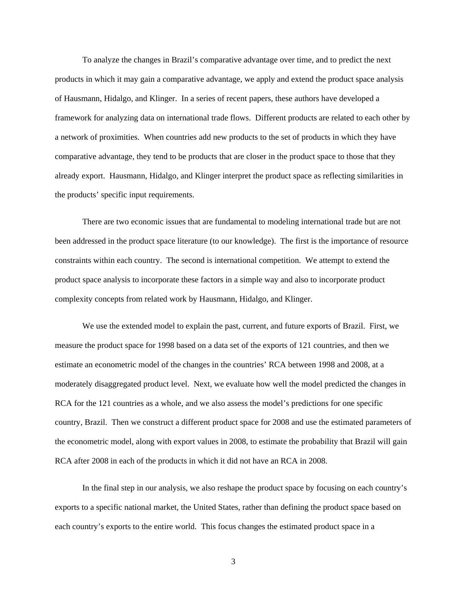To analyze the changes in Brazil's comparative advantage over time, and to predict the next products in which it may gain a comparative advantage, we apply and extend the product space analysis of Hausmann, Hidalgo, and Klinger. In a series of recent papers, these authors have developed a framework for analyzing data on international trade flows. Different products are related to each other by a network of proximities. When countries add new products to the set of products in which they have comparative advantage, they tend to be products that are closer in the product space to those that they already export. Hausmann, Hidalgo, and Klinger interpret the product space as reflecting similarities in the products' specific input requirements.

There are two economic issues that are fundamental to modeling international trade but are not been addressed in the product space literature (to our knowledge). The first is the importance of resource constraints within each country. The second is international competition. We attempt to extend the product space analysis to incorporate these factors in a simple way and also to incorporate product complexity concepts from related work by Hausmann, Hidalgo, and Klinger.

We use the extended model to explain the past, current, and future exports of Brazil. First, we measure the product space for 1998 based on a data set of the exports of 121 countries, and then we estimate an econometric model of the changes in the countries' RCA between 1998 and 2008, at a moderately disaggregated product level. Next, we evaluate how well the model predicted the changes in RCA for the 121 countries as a whole, and we also assess the model's predictions for one specific country, Brazil. Then we construct a different product space for 2008 and use the estimated parameters of the econometric model, along with export values in 2008, to estimate the probability that Brazil will gain RCA after 2008 in each of the products in which it did not have an RCA in 2008.

In the final step in our analysis, we also reshape the product space by focusing on each country's exports to a specific national market, the United States, rather than defining the product space based on each country's exports to the entire world. This focus changes the estimated product space in a

3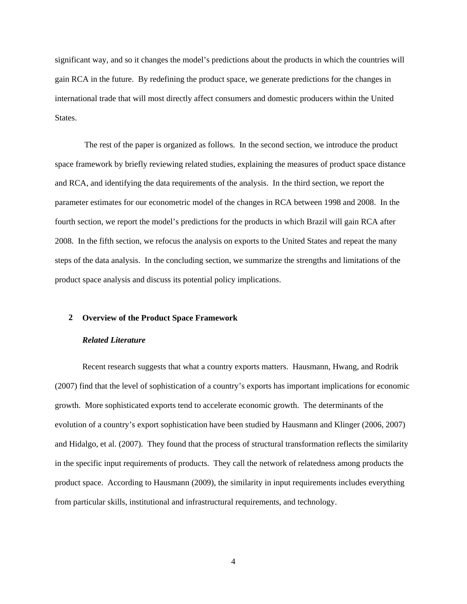significant way, and so it changes the model's predictions about the products in which the countries will gain RCA in the future. By redefining the product space, we generate predictions for the changes in international trade that will most directly affect consumers and domestic producers within the United States.

 The rest of the paper is organized as follows. In the second section, we introduce the product space framework by briefly reviewing related studies, explaining the measures of product space distance and RCA, and identifying the data requirements of the analysis. In the third section, we report the parameter estimates for our econometric model of the changes in RCA between 1998 and 2008. In the fourth section, we report the model's predictions for the products in which Brazil will gain RCA after 2008. In the fifth section, we refocus the analysis on exports to the United States and repeat the many steps of the data analysis. In the concluding section, we summarize the strengths and limitations of the product space analysis and discuss its potential policy implications.

#### **2 Overview of the Product Space Framework**

#### *Related Literature*

Recent research suggests that what a country exports matters. Hausmann, Hwang, and Rodrik (2007) find that the level of sophistication of a country's exports has important implications for economic growth. More sophisticated exports tend to accelerate economic growth. The determinants of the evolution of a country's export sophistication have been studied by Hausmann and Klinger (2006, 2007) and Hidalgo, et al. (2007). They found that the process of structural transformation reflects the similarity in the specific input requirements of products. They call the network of relatedness among products the product space. According to Hausmann (2009), the similarity in input requirements includes everything from particular skills, institutional and infrastructural requirements, and technology.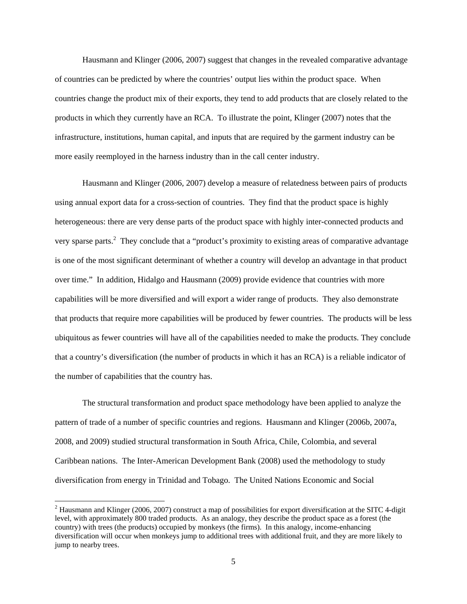more easily reemployed in the harness industry than in the call center industry. Hausmann and Klinger (2006, 2007) suggest that changes in the revealed comparative advantage of countries can be predicted by where the countries' output lies within the product space. When countries change the product mix of their exports, they tend to add products that are closely related to the products in which they currently have an RCA. To illustrate the point, Klinger (2007) notes that the infrastructure, institutions, human capital, and inputs that are required by the garment industry can be

Hausmann and Klinger (2006, 2007) develop a measure of relatedness between pairs of products using annual export data for a cross-section of countries. They find that the product space is highly heterogeneous: there are very dense parts of the product space with highly inter-connected products and very sparse parts.<sup>2</sup> They conclude that a "product's proximity to existing areas of comparative advantage is one of the most significant determinant of whether a country will develop an advantage in that product over time." In addition, Hidalgo and Hausmann (2009) provide evidence that countries with more capabilities will be more diversified and will export a wider range of products. They also demonstrate that products that require more capabilities will be produced by fewer countries. The products will be less ubiquitous as fewer countries will have all of the capabilities needed to make the products. They conclude that a country's diversification (the number of products in which it has an RCA) is a reliable indicator of the number of capabilities that the country has.

The structural transformation and product space methodology have been applied to analyze the pattern of trade of a number of specific countries and regions. Hausmann and Klinger (2006b, 2007a, 2008, and 2009) studied structural transformation in South Africa, Chile, Colombia, and several Caribbean nations. The Inter-American Development Bank (2008) used the methodology to study diversification from energy in Trinidad and Tobago. The United Nations Economic and Social

 diversification will occur when monkeys jump to additional trees with additional fruit, and they are more likely to  $2$  Hausmann and Klinger (2006, 2007) construct a map of possibilities for export diversification at the SITC 4-digit level, with approximately 800 traded products. As an analogy, they describe the product space as a forest (the country) with trees (the products) occupied by monkeys (the firms). In this analogy, income-enhancing jump to nearby trees.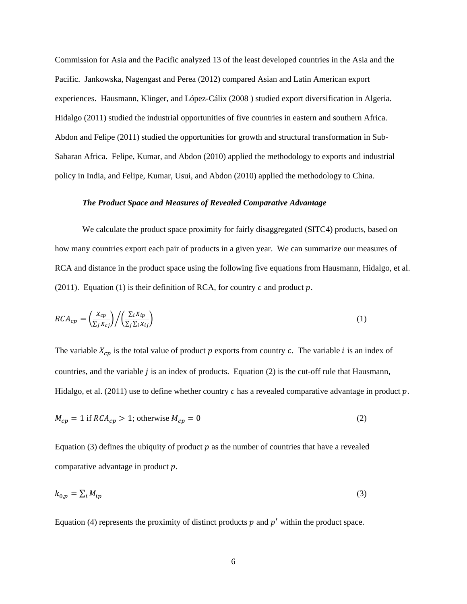Commission for Asia and the Pacific analyzed 13 of the least developed countries in the Asia and the Pacific. Jankowska, Nagengast and Perea (2012) compared Asian and Latin American export experiences. Hausmann, Klinger, and López-Cálix (2008 ) studied export diversification in Algeria. Hidalgo (2011) studied the industrial opportunities of five countries in eastern and southern Africa. Abdon and Felipe (2011) studied the opportunities for growth and structural transformation in Sub-Saharan Africa. Felipe, Kumar, and Abdon (2010) applied the methodology to exports and industrial policy in India, and Felipe, Kumar, Usui, and Abdon (2010) applied the methodology to China.

#### *The Product Space and Measures of Revealed Comparative Advantage*

We calculate the product space proximity for fairly disaggregated (SITC4) products, based on how many countries export each pair of products in a given year. We can summarize our measures of RCA and distance in the product space using the following five equations from Hausmann, Hidalgo, et al. (2011). Equation (1) is their definition of RCA, for country  $c$  and product  $p$ .

$$
RCA_{cp} = \left(\frac{X_{cp}}{\sum_{j} X_{cj}}\right) / \left(\frac{\sum_{i} X_{ip}}{\sum_{j} \sum_{i} X_{ij}}\right)
$$
 (1)

The variable  $X_{cp}$  is the total value of product p exports from country c. The variable i is an index of countries, and the variable  $j$  is an index of products. Equation (2) is the cut-off rule that Hausmann, Hidalgo, et al. (2011) use to define whether country c has a revealed comparative advantage in product  $p$ .

$$
M_{cp} = 1 \text{ if } RCA_{cp} > 1; \text{ otherwise } M_{cp} = 0 \tag{2}
$$

Equation (3) defines the ubiquity of product  $p$  as the number of countries that have a revealed comparative advantage in product  $p$ .

$$
k_{0,p} = \sum_{i} M_{ip} \tag{3}
$$

Equation (4) represents the proximity of distinct products  $p$  and  $p'$  within the product space.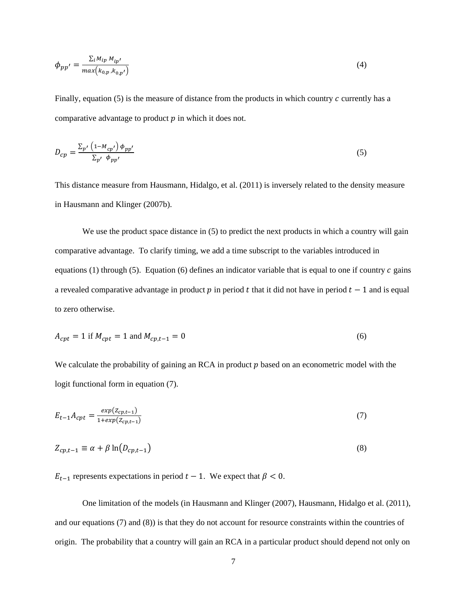$$
\phi_{pp'} = \frac{\sum_{i} M_{ip} M_{ip'}}{max(k_{0,p}, k_{0,p'})}
$$
\n<sup>(4)</sup>

Finally, equation  $(5)$  is the measure of distance from the products in which country c currently has a comparative advantage to product  $p$  in which it does not.

$$
D_{cp} = \frac{\sum_{p'} \left(1 - M_{cp'}\right) \phi_{pp'}}{\sum_{p'} \phi_{pp'}}
$$
\n
$$
\tag{5}
$$

This distance measure from Hausmann, Hidalgo, et al. (2011) is inversely related to the density measure in Hausmann and Klinger (2007b).

We use the product space distance in (5) to predict the next products in which a country will gain comparative advantage. To clarify timing, we add a time subscript to the variables introduced in equations (1) through (5). Equation (6) defines an indicator variable that is equal to one if country  $c$  gains a revealed comparative advantage in product p in period t that it did not have in period  $t-1$  and is equal to zero otherwise.

$$
A_{cpt} = 1 \text{ if } M_{cpt} = 1 \text{ and } M_{cpt-1} = 0
$$
\n(6)

We calculate the probability of gaining an RCA in product  $p$  based on an econometric model with the logit functional form in equation (7).

$$
E_{t-1}A_{cpt} = \frac{exp(Z_{cpt-1})}{1+exp(Z_{cpt-1})}
$$
\n(7)

$$
Z_{cp,t-1} \equiv \alpha + \beta \ln(D_{cp,t-1})
$$
\n(8)

 $E_{t-1}$  represents expectations in period  $t-1$ . We expect that  $\beta < 0$ .

One limitation of the models (in Hausmann and Klinger (2007), Hausmann, Hidalgo et al. (2011), and our equations  $(7)$  and  $(8)$ ) is that they do not account for resource constraints within the countries of origin. The probability that a country will gain an RCA in a particular product should depend not only on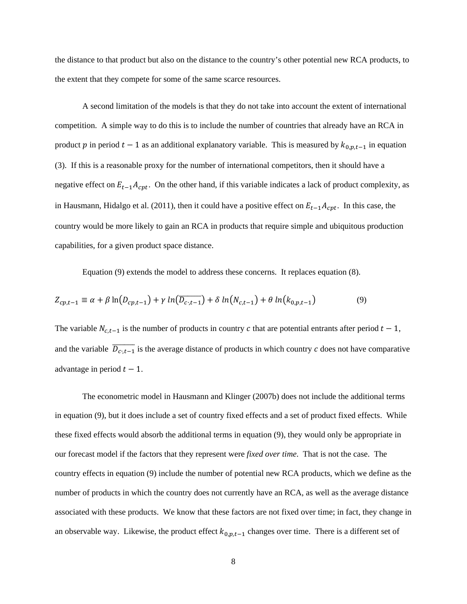the distance to that product but also on the distance to the country's other potential new RCA products, to the extent that they compete for some of the same scarce resources.

A second limitation of the models is that they do not take into account the extent of international competition. A simple way to do this is to include the number of countries that already have an RCA in product p in period  $t-1$  as an additional explanatory variable. This is measured by  $k_{0,p,t-1}$  in equation (3). If this is a reasonable proxy for the number of international competitors, then it should have a negative effect on  $E_{t-1}A_{cpt}$ . On the other hand, if this variable indicates a lack of product complexity, as in Hausmann, Hidalgo et al. (2011), then it could have a positive effect on  $E_{t-1}A_{cpt}$ . In this case, the country would be more likely to gain an RCA in products that require simple and ubiquitous production capabilities, for a given product space distance.

Equation (9) extends the model to address these concerns. It replaces equation (8).

$$
Z_{cp,t-1} \equiv \alpha + \beta \ln(D_{cp,t-1}) + \gamma \ln(D_{c,t-1}) + \delta \ln(N_{c,t-1}) + \theta \ln(k_{0,p,t-1})
$$
(9)

The variable  $N_{c,t-1}$  is the number of products in country c that are potential entrants after period  $t-1$ , and the variable  $\overline{D_{c,t-1}}$  is the average distance of products in which country c does not have comparative advantage in period  $t - 1$ .

The econometric model in Hausmann and Klinger (2007b) does not include the additional terms in equation (9), but it does include a set of country fixed effects and a set of product fixed effects. While these fixed effects would absorb the additional terms in equation (9), they would only be appropriate in our forecast model if the factors that they represent were *fixed over time*. That is not the case. The country effects in equation (9) include the number of potential new RCA products, which we define as the number of products in which the country does not currently have an RCA, as well as the average distance associated with these products. We know that these factors are not fixed over time; in fact, they change in an observable way. Likewise, the product effect  $k_{0,p,t-1}$  changes over time. There is a different set of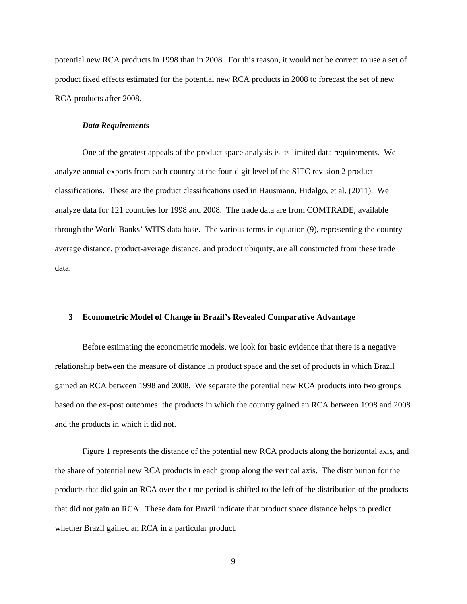potential new RCA products in 1998 than in 2008. For this reason, it would not be correct to use a set of product fixed effects estimated for the potential new RCA products in 2008 to forecast the set of new RCA products after 2008.

#### *Data Requirements*

One of the greatest appeals of the product space analysis is its limited data requirements. We analyze annual exports from each country at the four-digit level of the SITC revision 2 product classifications. These are the product classifications used in Hausmann, Hidalgo, et al. (2011). We analyze data for 121 countries for 1998 and 2008. The trade data are from COMTRADE, available through the World Banks' WITS data base. The various terms in equation (9), representing the countryaverage distance, product-average distance, and product ubiquity, are all constructed from these trade data.

#### **3 Econometric Model of Change in Brazil's Revealed Comparative Advantage**

Before estimating the econometric models, we look for basic evidence that there is a negative relationship between the measure of distance in product space and the set of products in which Brazil gained an RCA between 1998 and 2008. We separate the potential new RCA products into two groups based on the ex-post outcomes: the products in which the country gained an RCA between 1998 and 2008 and the products in which it did not.

Figure 1 represents the distance of the potential new RCA products along the horizontal axis, and the share of potential new RCA products in each group along the vertical axis. The distribution for the products that did gain an RCA over the time period is shifted to the left of the distribution of the products that did not gain an RCA. These data for Brazil indicate that product space distance helps to predict whether Brazil gained an RCA in a particular product.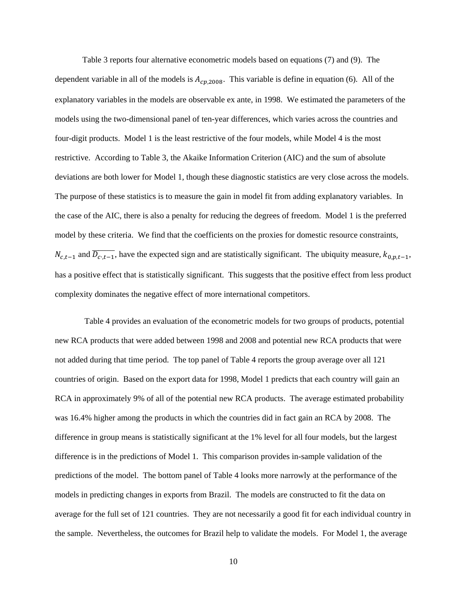Table 3 reports four alternative econometric models based on equations (7) and (9). The dependent variable in all of the models is  $A_{cp,2008}$ . This variable is define in equation (6). All of the explanatory variables in the models are observable ex ante, in 1998. We estimated the parameters of the models using the two-dimensional panel of ten-year differences, which varies across the countries and four-digit products. Model 1 is the least restrictive of the four models, while Model 4 is the most restrictive. According to Table 3, the Akaike Information Criterion (AIC) and the sum of absolute deviations are both lower for Model 1, though these diagnostic statistics are very close across the models. The purpose of these statistics is to measure the gain in model fit from adding explanatory variables. In the case of the AIC, there is also a penalty for reducing the degrees of freedom. Model 1 is the preferred model by these criteria. We find that the coefficients on the proxies for domestic resource constraints,  $N_{c,t-1}$  and  $\overline{D_{c,t-1}}$ , have the expected sign and are statistically significant. The ubiquity measure,  $k_{0,p,t-1}$ , has a positive effect that is statistically significant. This suggests that the positive effect from less product complexity dominates the negative effect of more international competitors.

 models in predicting changes in exports from Brazil. The models are constructed to fit the data on Table 4 provides an evaluation of the econometric models for two groups of products, potential new RCA products that were added between 1998 and 2008 and potential new RCA products that were not added during that time period. The top panel of Table 4 reports the group average over all 121 countries of origin. Based on the export data for 1998, Model 1 predicts that each country will gain an RCA in approximately 9% of all of the potential new RCA products. The average estimated probability was 16.4% higher among the products in which the countries did in fact gain an RCA by 2008. The difference in group means is statistically significant at the 1% level for all four models, but the largest difference is in the predictions of Model 1. This comparison provides in-sample validation of the predictions of the model. The bottom panel of Table 4 looks more narrowly at the performance of the average for the full set of 121 countries. They are not necessarily a good fit for each individual country in the sample. Nevertheless, the outcomes for Brazil help to validate the models. For Model 1, the average

10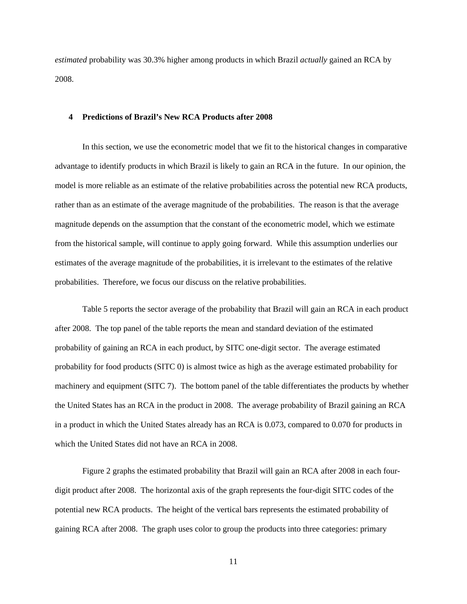*estimated* probability was 30.3% higher among products in which Brazil *actually* gained an RCA by 2008.

#### **4 Predictions of Brazil's New RCA Products after 2008**

In this section, we use the econometric model that we fit to the historical changes in comparative advantage to identify products in which Brazil is likely to gain an RCA in the future. In our opinion, the model is more reliable as an estimate of the relative probabilities across the potential new RCA products, rather than as an estimate of the average magnitude of the probabilities. The reason is that the average magnitude depends on the assumption that the constant of the econometric model, which we estimate from the historical sample, will continue to apply going forward. While this assumption underlies our estimates of the average magnitude of the probabilities, it is irrelevant to the estimates of the relative probabilities. Therefore, we focus our discuss on the relative probabilities.

Table 5 reports the sector average of the probability that Brazil will gain an RCA in each product after 2008. The top panel of the table reports the mean and standard deviation of the estimated probability of gaining an RCA in each product, by SITC one-digit sector. The average estimated probability for food products (SITC 0) is almost twice as high as the average estimated probability for machinery and equipment (SITC 7). The bottom panel of the table differentiates the products by whether the United States has an RCA in the product in 2008. The average probability of Brazil gaining an RCA in a product in which the United States already has an RCA is 0.073, compared to 0.070 for products in which the United States did not have an RCA in 2008.

Figure 2 graphs the estimated probability that Brazil will gain an RCA after 2008 in each fourdigit product after 2008. The horizontal axis of the graph represents the four-digit SITC codes of the potential new RCA products. The height of the vertical bars represents the estimated probability of gaining RCA after 2008. The graph uses color to group the products into three categories: primary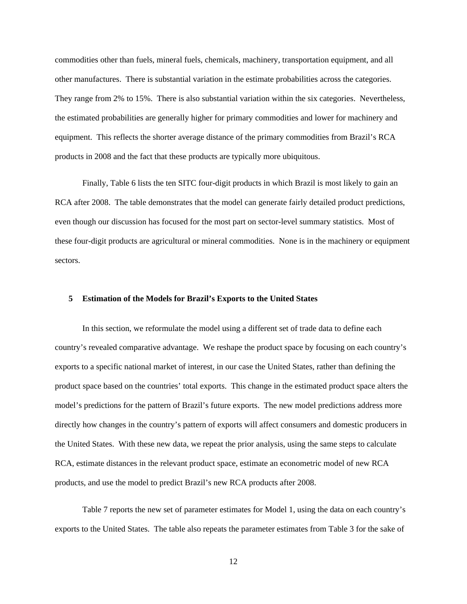commodities other than fuels, mineral fuels, chemicals, machinery, transportation equipment, and all other manufactures. There is substantial variation in the estimate probabilities across the categories. They range from 2% to 15%. There is also substantial variation within the six categories. Nevertheless, the estimated probabilities are generally higher for primary commodities and lower for machinery and equipment. This reflects the shorter average distance of the primary commodities from Brazil's RCA products in 2008 and the fact that these products are typically more ubiquitous.

Finally, Table 6 lists the ten SITC four-digit products in which Brazil is most likely to gain an RCA after 2008. The table demonstrates that the model can generate fairly detailed product predictions, even though our discussion has focused for the most part on sector-level summary statistics. Most of these four-digit products are agricultural or mineral commodities. None is in the machinery or equipment sectors.

#### **5 Estimation of the Models for Brazil's Exports to the United States**

In this section, we reformulate the model using a different set of trade data to define each country's revealed comparative advantage. We reshape the product space by focusing on each country's exports to a specific national market of interest, in our case the United States, rather than defining the product space based on the countries' total exports. This change in the estimated product space alters the model's predictions for the pattern of Brazil's future exports. The new model predictions address more directly how changes in the country's pattern of exports will affect consumers and domestic producers in the United States. With these new data, we repeat the prior analysis, using the same steps to calculate RCA, estimate distances in the relevant product space, estimate an econometric model of new RCA products, and use the model to predict Brazil's new RCA products after 2008.

Table 7 reports the new set of parameter estimates for Model 1, using the data on each country's exports to the United States. The table also repeats the parameter estimates from Table 3 for the sake of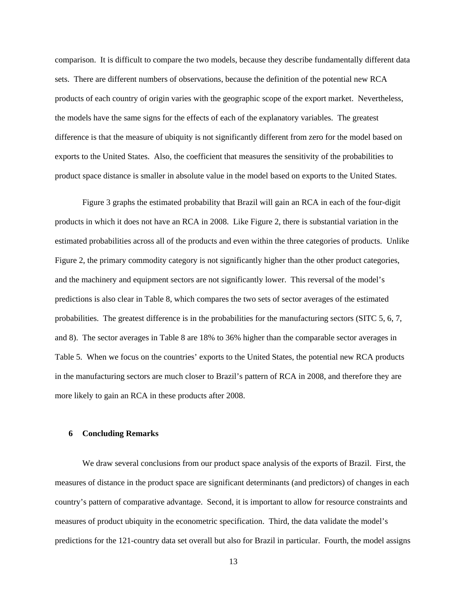comparison. It is difficult to compare the two models, because they describe fundamentally different data sets. There are different numbers of observations, because the definition of the potential new RCA products of each country of origin varies with the geographic scope of the export market. Nevertheless, the models have the same signs for the effects of each of the explanatory variables. The greatest difference is that the measure of ubiquity is not significantly different from zero for the model based on exports to the United States. Also, the coefficient that measures the sensitivity of the probabilities to product space distance is smaller in absolute value in the model based on exports to the United States.

Figure 3 graphs the estimated probability that Brazil will gain an RCA in each of the four-digit products in which it does not have an RCA in 2008. Like Figure 2, there is substantial variation in the estimated probabilities across all of the products and even within the three categories of products. Unlike Figure 2, the primary commodity category is not significantly higher than the other product categories, and the machinery and equipment sectors are not significantly lower. This reversal of the model's predictions is also clear in Table 8, which compares the two sets of sector averages of the estimated probabilities. The greatest difference is in the probabilities for the manufacturing sectors (SITC 5, 6, 7, and 8). The sector averages in Table 8 are 18% to 36% higher than the comparable sector averages in Table 5. When we focus on the countries' exports to the United States, the potential new RCA products in the manufacturing sectors are much closer to Brazil's pattern of RCA in 2008, and therefore they are more likely to gain an RCA in these products after 2008.

#### **6 Concluding Remarks**

We draw several conclusions from our product space analysis of the exports of Brazil. First, the measures of distance in the product space are significant determinants (and predictors) of changes in each country's pattern of comparative advantage. Second, it is important to allow for resource constraints and measures of product ubiquity in the econometric specification. Third, the data validate the model's predictions for the 121-country data set overall but also for Brazil in particular. Fourth, the model assigns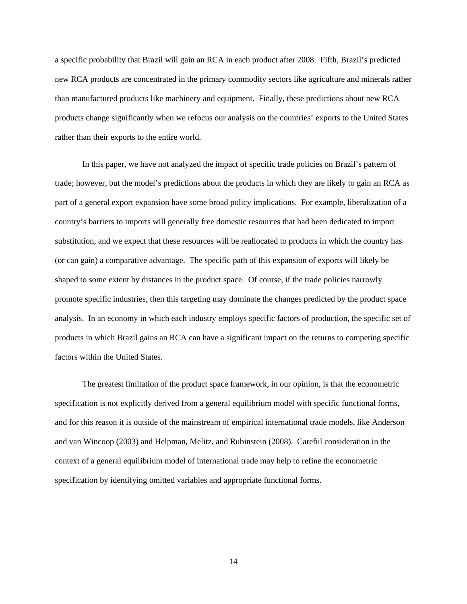a specific probability that Brazil will gain an RCA in each product after 2008. Fifth, Brazil's predicted new RCA products are concentrated in the primary commodity sectors like agriculture and minerals rather than manufactured products like machinery and equipment. Finally, these predictions about new RCA products change significantly when we refocus our analysis on the countries' exports to the United States rather than their exports to the entire world.

In this paper, we have not analyzed the impact of specific trade policies on Brazil's pattern of trade; however, but the model's predictions about the products in which they are likely to gain an RCA as part of a general export expansion have some broad policy implications. For example, liberalization of a country's barriers to imports will generally free domestic resources that had been dedicated to import substitution, and we expect that these resources will be reallocated to products in which the country has (or can gain) a comparative advantage. The specific path of this expansion of exports will likely be shaped to some extent by distances in the product space. Of course, if the trade policies narrowly promote specific industries, then this targeting may dominate the changes predicted by the product space analysis. In an economy in which each industry employs specific factors of production, the specific set of products in which Brazil gains an RCA can have a significant impact on the returns to competing specific factors within the United States.

specification by identifying omitted variables and appropriate functional forms. The greatest limitation of the product space framework, in our opinion, is that the econometric specification is not explicitly derived from a general equilibrium model with specific functional forms, and for this reason it is outside of the mainstream of empirical international trade models, like Anderson and van Wincoop (2003) and Helpman, Melitz, and Rubinstein (2008). Careful consideration in the context of a general equilibrium model of international trade may help to refine the econometric specification by identifying omitted variables and appropriate functional forms.<br>
14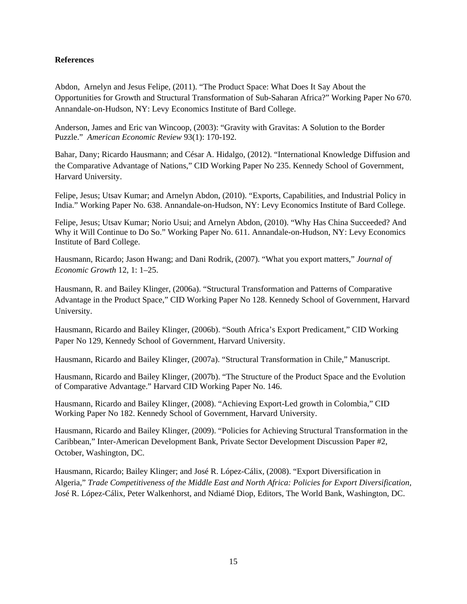#### **References**

Abdon, Arnelyn and Jesus Felipe, (2011). "The Product Space: What Does It Say About the Opportunities for Growth and Structural Transformation of Sub-Saharan Africa?" Working Paper No 670. Annandale-on-Hudson, NY: Levy Economics Institute of Bard College.

Anderson, James and Eric van Wincoop, (2003): "Gravity with Gravitas: A Solution to the Border Puzzle." *American Economic Review* 93(1): 170-192.

Bahar, Dany; Ricardo Hausmann; and César A. Hidalgo, (2012). "International Knowledge Diffusion and the Comparative Advantage of Nations," CID Working Paper No 235. Kennedy School of Government, Harvard University.

Felipe, Jesus; Utsav Kumar; and Arnelyn Abdon, (2010). "Exports, Capabilities, and Industrial Policy in India." Working Paper No. 638. Annandale-on-Hudson, NY: Levy Economics Institute of Bard College.

Felipe, Jesus; Utsav Kumar; Norio Usui; and Arnelyn Abdon, (2010). "Why Has China Succeeded? And Why it Will Continue to Do So." Working Paper No. 611. Annandale-on-Hudson, NY: Levy Economics Institute of Bard College.

Hausmann, Ricardo; Jason Hwang; and Dani Rodrik, (2007). "What you export matters," *Journal of Economic Growth* 12, 1: 1–25.

Hausmann, R. and Bailey Klinger, (2006a). "Structural Transformation and Patterns of Comparative Advantage in the Product Space," CID Working Paper No 128. Kennedy School of Government, Harvard University.

Hausmann, Ricardo and Bailey Klinger, (2006b). "South Africa's Export Predicament," CID Working Paper No 129, Kennedy School of Government, Harvard University.

Hausmann, Ricardo and Bailey Klinger, (2007a). "Structural Transformation in Chile," Manuscript.

Hausmann, Ricardo and Bailey Klinger, (2007b). "The Structure of the Product Space and the Evolution of Comparative Advantage." Harvard CID Working Paper No. 146.

Hausmann, Ricardo and Bailey Klinger, (2008). "Achieving Export-Led growth in Colombia," CID Working Paper No 182. Kennedy School of Government, Harvard University.

Hausmann, Ricardo and Bailey Klinger, (2009). "Policies for Achieving Structural Transformation in the Caribbean," Inter-American Development Bank, Private Sector Development Discussion Paper #2, October, Washington, DC.

Hausmann, Ricardo; Bailey Klinger; and José R. López-Cálix, (2008). "Export Diversification in Algeria," *Trade Competitiveness of the Middle East and North Africa: Policies for Export Diversification,*  José R. López-Cálix, Peter Walkenhorst, and Ndiamé Diop, Editors, The World Bank, Washington, DC.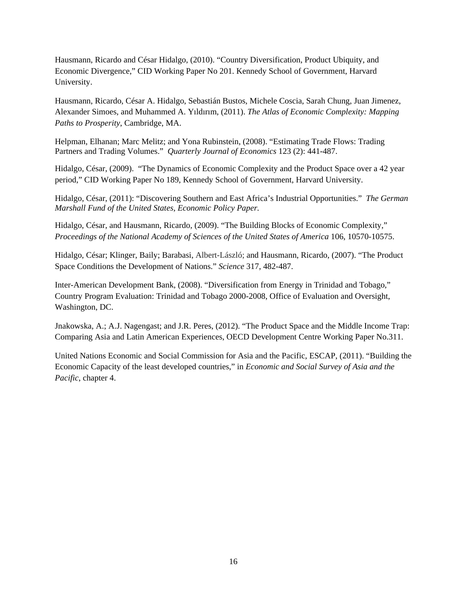Hausmann, Ricardo and César Hidalgo, (2010). "Country Diversification, Product Ubiquity, and Economic Divergence," CID Working Paper No 201. Kennedy School of Government, Harvard University.

Hausmann, Ricardo, César A. Hidalgo, Sebastián Bustos, Michele Coscia, Sarah Chung, Juan Jimenez, Alexander Simoes, and Muhammed A. Yıldırım, (2011). *The Atlas of Economic Complexity: Mapping Paths to Prosperity*, Cambridge, MA.

Helpman, Elhanan; Marc Melitz; and Yona Rubinstein, (2008). "Estimating Trade Flows: Trading Partners and Trading Volumes." *Quarterly Journal of Economics* 123 (2): 441-487.

Hidalgo, César, (2009). "The Dynamics of Economic Complexity and the Product Space over a 42 year period," CID Working Paper No 189, Kennedy School of Government, Harvard University.

 *Marshall Fund of the United States, Economic Policy Paper.* Hidalgo, César, (2011): "Discovering Southern and East Africa's Industrial Opportunities." *The German* 

Hidalgo, César, and Hausmann, Ricardo, (2009). "The Building Blocks of Economic Complexity," *Proceedings of the National Academy of Sciences of the United States of America* 106, 10570-10575.

Hidalgo, César; Klinger, Baily; Barabasi, Albert-László; and Hausmann, Ricardo, (2007). "The Product Space Conditions the Development of Nations." *Science* 317, 482-487.

Inter-American Development Bank, (2008). "Diversification from Energy in Trinidad and Tobago," Country Program Evaluation: Trinidad and Tobago 2000-2008, Office of Evaluation and Oversight, Washington, DC.

Jnakowska, A.; A.J. Nagengast; and J.R. Peres, (2012). "The Product Space and the Middle Income Trap: Comparing Asia and Latin American Experiences, OECD Development Centre Working Paper No.311.

United Nations Economic and Social Commission for Asia and the Pacific, ESCAP, (2011). "Building the Economic Capacity of the least developed countries," in *Economic and Social Survey of Asia and the Pacific*, chapter 4.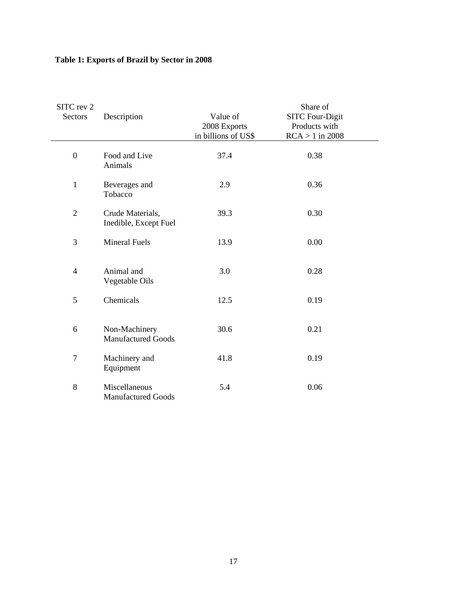| SITC rev 2<br>Sectors | Description                                | Value of<br>2008 Exports<br>in billions of US\$ | Share of<br><b>SITC Four-Digit</b><br>Products with<br>$RCA > 1$ in 2008 |
|-----------------------|--------------------------------------------|-------------------------------------------------|--------------------------------------------------------------------------|
| $\boldsymbol{0}$      | Food and Live<br>Animals                   | 37.4                                            | 0.38                                                                     |
| $\mathbf{1}$          | Beverages and<br>Tobacco                   | 2.9                                             | 0.36                                                                     |
| $\overline{2}$        | Crude Materials,<br>Inedible, Except Fuel  | 39.3                                            | 0.30                                                                     |
| 3                     | <b>Mineral Fuels</b>                       | 13.9                                            | 0.00                                                                     |
| $\overline{4}$        | Animal and<br>Vegetable Oils               | 3.0                                             | 0.28                                                                     |
| 5                     | Chemicals                                  | 12.5                                            | 0.19                                                                     |
| 6                     | Non-Machinery<br><b>Manufactured Goods</b> | 30.6                                            | 0.21                                                                     |
| $\overline{7}$        | Machinery and<br>Equipment                 | 41.8                                            | 0.19                                                                     |
| 8                     | Miscellaneous<br><b>Manufactured Goods</b> | 5.4                                             | 0.06                                                                     |

### **Table 1: Exports of Brazil by Sector in 2008**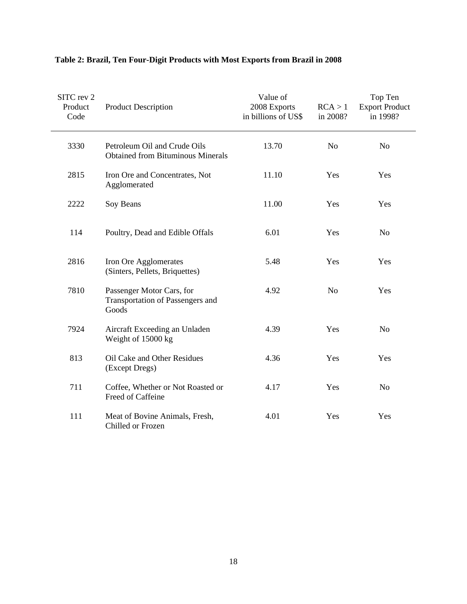| SITC rev 2<br>Product<br>Code | <b>Product Description</b>                                               | Value of<br>2008 Exports<br>in billions of US\$ | RCA > 1<br>in 2008? | Top Ten<br><b>Export Product</b><br>in 1998? |
|-------------------------------|--------------------------------------------------------------------------|-------------------------------------------------|---------------------|----------------------------------------------|
| 3330                          | Petroleum Oil and Crude Oils<br><b>Obtained from Bituminous Minerals</b> | 13.70                                           | N <sub>o</sub>      | N <sub>o</sub>                               |
| 2815                          | Iron Ore and Concentrates, Not<br>Agglomerated                           | 11.10                                           | Yes                 | Yes                                          |
| 2222                          | Soy Beans                                                                | 11.00                                           | Yes                 | Yes                                          |
| 114                           | Poultry, Dead and Edible Offals                                          | 6.01                                            | Yes                 | N <sub>o</sub>                               |
| 2816                          | Iron Ore Agglomerates<br>(Sinters, Pellets, Briquettes)                  | 5.48                                            | Yes                 | Yes                                          |
| 7810                          | Passenger Motor Cars, for<br>Transportation of Passengers and<br>Goods   | 4.92                                            | N <sub>o</sub>      | Yes                                          |
| 7924                          | Aircraft Exceeding an Unladen<br>Weight of 15000 kg                      | 4.39                                            | Yes                 | N <sub>o</sub>                               |
| 813                           | Oil Cake and Other Residues<br>(Except Dregs)                            | 4.36                                            | Yes                 | Yes                                          |
| 711                           | Coffee, Whether or Not Roasted or<br>Freed of Caffeine                   | 4.17                                            | Yes                 | N <sub>o</sub>                               |
| 111                           | Meat of Bovine Animals, Fresh,<br>Chilled or Frozen                      | 4.01                                            | Yes                 | Yes                                          |

### **Table 2: Brazil, Ten Four-Digit Products with Most Exports from Brazil in 2008**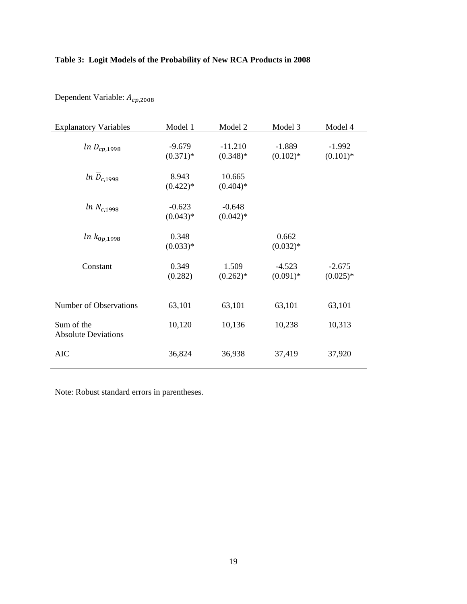### **Table 3: Logit Models of the Probability of New RCA Products in 2008**

| <b>Explanatory Variables</b>             | Model 1                | Model 2                 | Model 3                 | Model 4                 |
|------------------------------------------|------------------------|-------------------------|-------------------------|-------------------------|
| $ln D_{cp,1998}$                         | $-9.679$<br>$(0.371)*$ | $-11.210$<br>$(0.348)*$ | $-1.889$<br>$(0.102)$ * | $-1.992$<br>$(0.101)$ * |
| $ln\ \overline{D}_{c.1998}$              | 8.943<br>$(0.422)*$    | 10.665<br>$(0.404)*$    |                         |                         |
| $ln N_{c,1998}$                          | $-0.623$<br>$(0.043)*$ | $-0.648$<br>$(0.042)*$  |                         |                         |
| $ln k_{0p,1998}$                         | 0.348<br>$(0.033)*$    |                         | 0.662<br>$(0.032)*$     |                         |
| Constant                                 | 0.349<br>(0.282)       | 1.509<br>$(0.262)*$     | $-4.523$<br>$(0.091)$ * | $-2.675$<br>$(0.025)*$  |
| Number of Observations                   | 63,101                 | 63,101                  | 63,101                  | 63,101                  |
| Sum of the<br><b>Absolute Deviations</b> | 10,120                 | 10,136                  | 10,238                  | 10,313                  |
| <b>AIC</b>                               | 36,824                 | 36,938                  | 37,419                  | 37,920                  |

Dependent Variable:  $A_{cp,2008}$ 

Note: Robust standard errors in parentheses.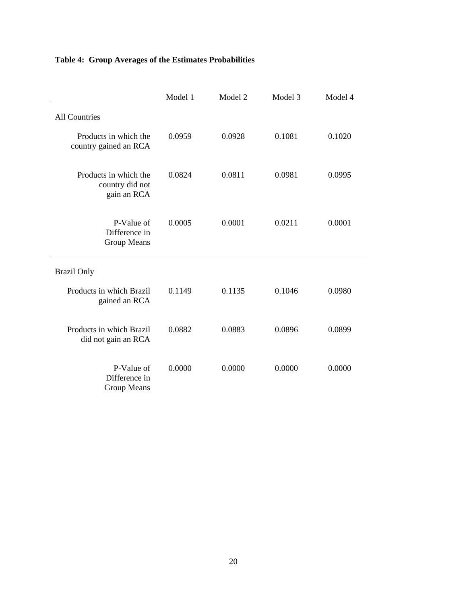### **Table 4: Group Averages of the Estimates Probabilities**

|                                                         | Model 1 | Model 2 | Model 3 | Model 4 |
|---------------------------------------------------------|---------|---------|---------|---------|
| <b>All Countries</b>                                    |         |         |         |         |
| Products in which the<br>country gained an RCA          | 0.0959  | 0.0928  | 0.1081  | 0.1020  |
| Products in which the<br>country did not<br>gain an RCA | 0.0824  | 0.0811  | 0.0981  | 0.0995  |
| P-Value of<br>Difference in<br><b>Group Means</b>       | 0.0005  | 0.0001  | 0.0211  | 0.0001  |
| <b>Brazil Only</b>                                      |         |         |         |         |
| Products in which Brazil<br>gained an RCA               | 0.1149  | 0.1135  | 0.1046  | 0.0980  |
| Products in which Brazil<br>did not gain an RCA         | 0.0882  | 0.0883  | 0.0896  | 0.0899  |
| P-Value of<br>Difference in<br><b>Group Means</b>       | 0.0000  | 0.0000  | 0.0000  | 0.0000  |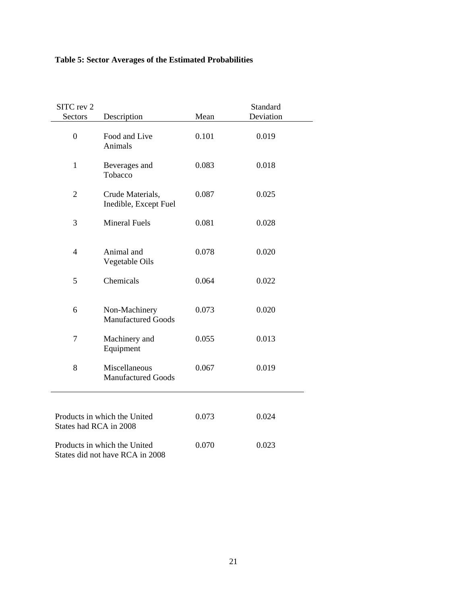| SITC rev 2<br>Sectors                                  | Description                                                     | Mean  | Standard<br>Deviation |  |
|--------------------------------------------------------|-----------------------------------------------------------------|-------|-----------------------|--|
| $\boldsymbol{0}$                                       | Food and Live<br>Animals                                        | 0.101 | 0.019                 |  |
| $\mathbf{1}$                                           | Beverages and<br>Tobacco                                        | 0.083 | 0.018                 |  |
| $\overline{2}$                                         | Crude Materials,<br>Inedible, Except Fuel                       | 0.087 | 0.025                 |  |
| 3                                                      | <b>Mineral Fuels</b>                                            | 0.081 | 0.028                 |  |
| $\overline{4}$                                         | Animal and<br>Vegetable Oils                                    | 0.078 | 0.020                 |  |
| 5                                                      | Chemicals                                                       | 0.064 | 0.022                 |  |
| 6                                                      | Non-Machinery<br><b>Manufactured Goods</b>                      | 0.073 | 0.020                 |  |
| $\tau$                                                 | Machinery and<br>Equipment                                      | 0.055 | 0.013                 |  |
| 8                                                      | Miscellaneous<br><b>Manufactured Goods</b>                      | 0.067 | 0.019                 |  |
| Products in which the United<br>States had RCA in 2008 |                                                                 | 0.073 | 0.024                 |  |
|                                                        | Products in which the United<br>States did not have RCA in 2008 | 0.070 | 0.023                 |  |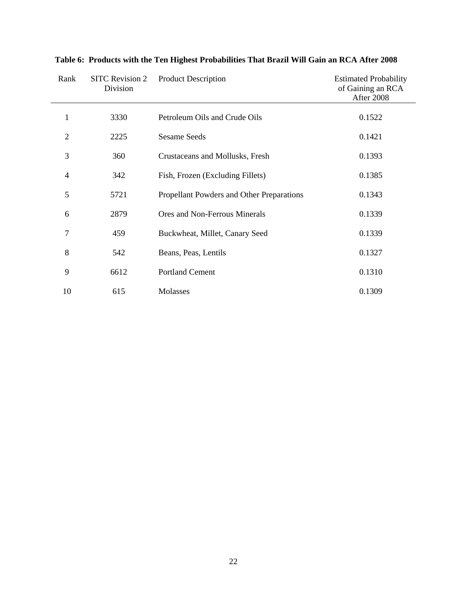| Rank           | <b>SITC Revision 2</b><br>Division | <b>Product Description</b>                | <b>Estimated Probability</b><br>of Gaining an RCA<br>After 2008 |
|----------------|------------------------------------|-------------------------------------------|-----------------------------------------------------------------|
| 1              | 3330                               | Petroleum Oils and Crude Oils             | 0.1522                                                          |
| $\overline{2}$ | 2225                               | <b>Sesame Seeds</b>                       | 0.1421                                                          |
| 3              | 360                                | Crustaceans and Mollusks, Fresh           | 0.1393                                                          |
| 4              | 342                                | Fish, Frozen (Excluding Fillets)          | 0.1385                                                          |
| 5              | 5721                               | Propellant Powders and Other Preparations | 0.1343                                                          |
| 6              | 2879                               | Ores and Non-Ferrous Minerals             | 0.1339                                                          |
| 7              | 459                                | Buckwheat, Millet, Canary Seed            | 0.1339                                                          |
| 8              | 542                                | Beans, Peas, Lentils                      | 0.1327                                                          |
| 9              | 6612                               | <b>Portland Cement</b>                    | 0.1310                                                          |
| 10             | 615                                | Molasses                                  | 0.1309                                                          |

**Table 6: Products with the Ten Highest Probabilities That Brazil Will Gain an RCA After 2008**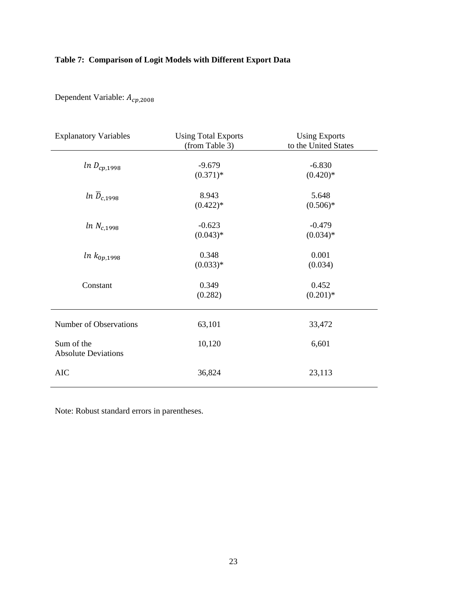### **Table 7: Comparison of Logit Models with Different Export Data**

| <b>Explanatory Variables</b>             | <b>Using Total Exports</b><br>(from Table 3) | <b>Using Exports</b><br>to the United States |
|------------------------------------------|----------------------------------------------|----------------------------------------------|
| $ln\ D_{cp,1998}$                        | $-9.679$<br>$(0.371)*$                       | $-6.830$<br>$(0.420)*$                       |
| $ln\ \overline{D}_{c,1998}$              | 8.943<br>$(0.422)*$                          | 5.648<br>$(0.506)*$                          |
| $ln N_{c,1998}$                          | $-0.623$<br>$(0.043)*$                       | $-0.479$<br>$(0.034)*$                       |
| $ln k_{0p,1998}$                         | 0.348<br>$(0.033)*$                          | 0.001<br>(0.034)                             |
| Constant                                 | 0.349<br>(0.282)                             | 0.452<br>$(0.201)*$                          |
| Number of Observations                   | 63,101                                       | 33,472                                       |
| Sum of the<br><b>Absolute Deviations</b> | 10,120                                       | 6,601                                        |
| <b>AIC</b>                               | 36,824                                       | 23,113                                       |

Dependent Variable:  $A_{cp,2008}$ 

Note: Robust standard errors in parentheses.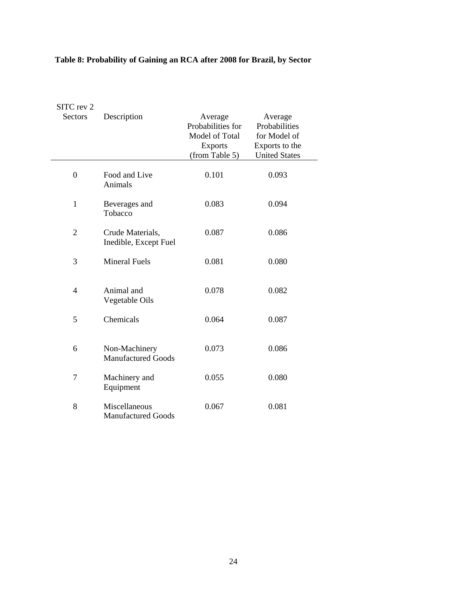| SITC rev 2<br><b>Sectors</b> | Description                                | Average<br>Probabilities for<br>Model of Total<br><b>Exports</b><br>(from Table 5) | Average<br>Probabilities<br>for Model of<br>Exports to the<br><b>United States</b> |
|------------------------------|--------------------------------------------|------------------------------------------------------------------------------------|------------------------------------------------------------------------------------|
| $\overline{0}$               | Food and Live<br>Animals                   | 0.101                                                                              | 0.093                                                                              |
| $\mathbf{1}$                 | Beverages and<br>Tobacco                   | 0.083                                                                              | 0.094                                                                              |
| $\overline{2}$               | Crude Materials,<br>Inedible, Except Fuel  | 0.087                                                                              | 0.086                                                                              |
| 3                            | <b>Mineral Fuels</b>                       | 0.081                                                                              | 0.080                                                                              |
| 4                            | Animal and<br>Vegetable Oils               | 0.078                                                                              | 0.082                                                                              |
| 5                            | Chemicals                                  | 0.064                                                                              | 0.087                                                                              |
| 6                            | Non-Machinery<br><b>Manufactured Goods</b> | 0.073                                                                              | 0.086                                                                              |
| 7                            | Machinery and<br>Equipment                 | 0.055                                                                              | 0.080                                                                              |
| 8                            | Miscellaneous<br><b>Manufactured Goods</b> | 0.067                                                                              | 0.081                                                                              |

### **Table 8: Probability of Gaining an RCA after 2008 for Brazil, by Sector**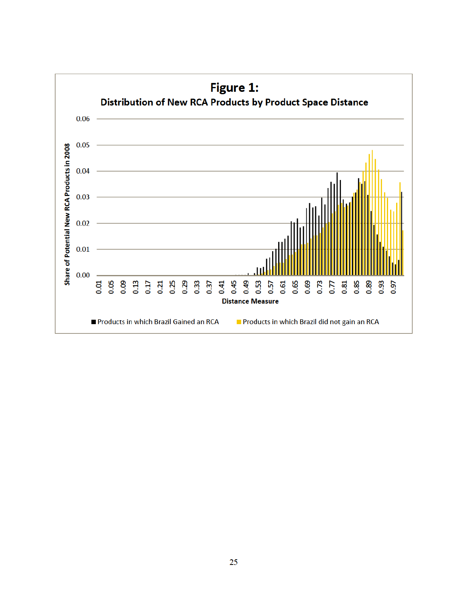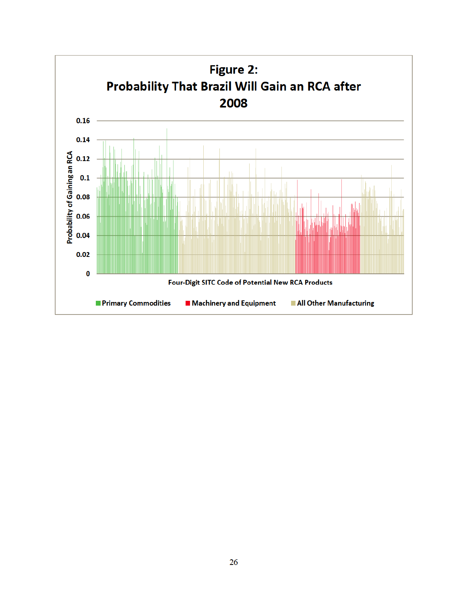